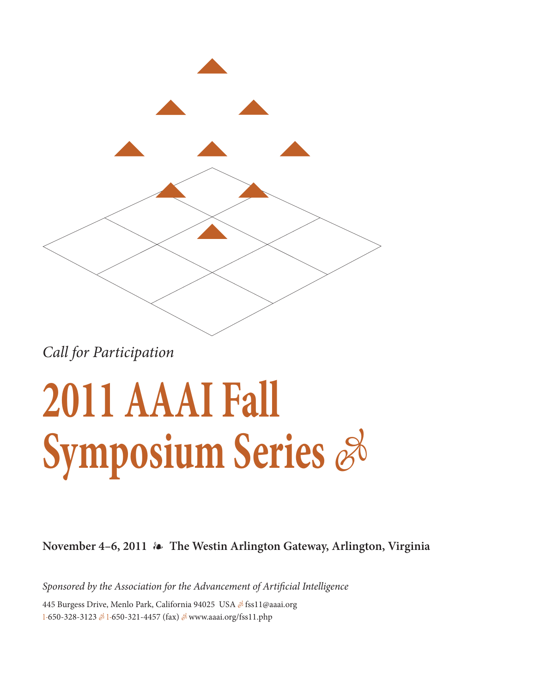

Call for Participation

### **2011 AAAI Fall Symposium Series**  $\mathscr{E}$

**November 4–6, 2011 The Westin Arlington Gateway, Arlington, Virginia**

Sponsored by the Association for the Advancement of Artificial Intelligence

445 Burgess Drive, Menlo Park, California 94025 USA & fss11@aaai.org 1-650-328-3123 & 1-650-321-4457 (fax) & www.aaai.org/fss11.php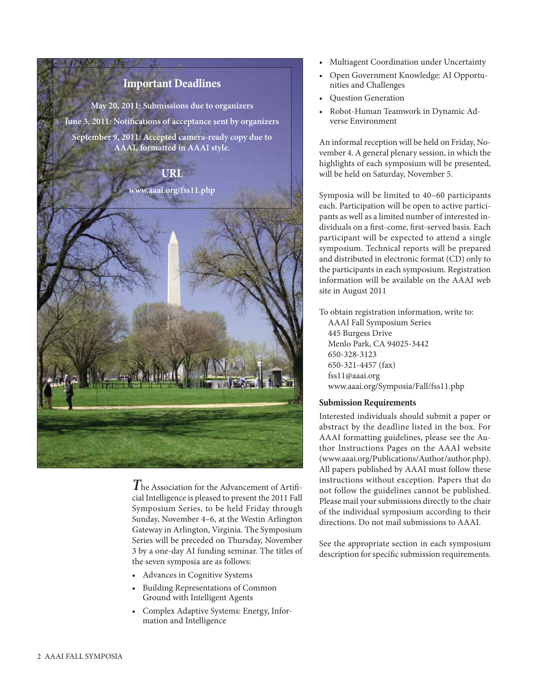

**T**he Association for the Advancement of Artificial Intelligence is pleased to present the 2011 Fall Symposium Series, to be held Friday through Sunday, November 4–6, at the Westin Arlington Gateway in Arlington, Virginia. The Symposium Series will be preceded on Thursday, November 3 by a one-day AI funding seminar. The titles of the seven symposia are as follows:

- Advances in Cognitive Systems
- Building Representations of Common Ground with Intelligent Agents
- Complex Adaptive Systems: Energy, Information and Intelligence
- Multiagent Coordination under Uncertainty
- Open Government Knowledge: AI Opportunities and Challenges
- Question Generation
- Robot-Human Teamwork in Dynamic Adverse Environment

An informal reception will be held on Friday, November 4. A general plenary session, in which the highlights of each symposium will be presented, will be held on Saturday, November 5.

Symposia will be limited to 40–60 participants each. Participation will be open to active participants as well as a limited number of interested individuals on a first-come, first-served basis. Each participant will be expected to attend a single symposium. Technical reports will be prepared and distributed in electronic format (CD) only to the participants in each symposium. Registration information will be available on the AAAI web site in August 2011

To obtain registration information, write to: AAAI Fall Symposium Series 445 Burgess Drive Menlo Park, CA 94025-3442 650-328-3123 650-321-4457 (fax) fss11@aaai.org www.aaai.org/Symposia/Fall/fss11.php

### **Submission Requirements**

Interested individuals should submit a paper or abstract by the deadline listed in the box. For AAAI formatting guidelines, please see the Author Instructions Pages on the AAAI website (www.aaai.org/Publications/Author/author.php). All papers published by AAAI must follow these instructions without exception. Papers that do not follow the guidelines cannot be published. Please mail your submissions directly to the chair of the individual symposium according to their directions. Do not mail submissions to AAAI.

See the appropriate section in each symposium description for specific submission requirements.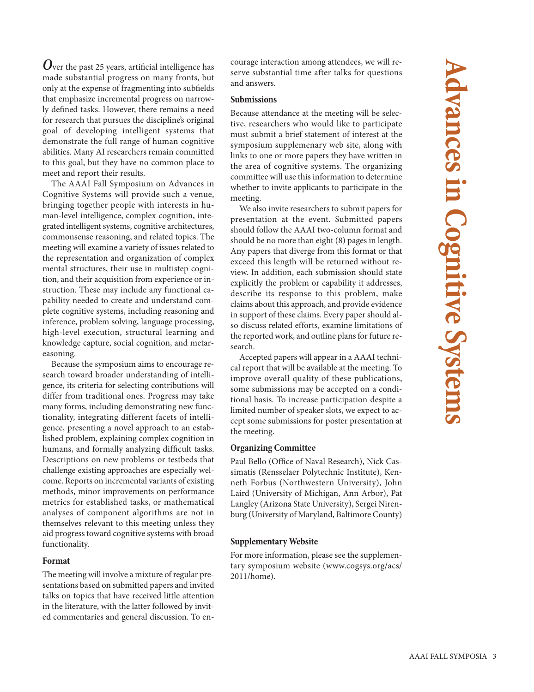**O**ver the past 25 years, artificial intelligence has made substantial progress on many fronts, but only at the expense of fragmenting into subfields that emphasize incremental progress on narrowly defined tasks. However, there remains a need for research that pursues the discipline's original goal of developing intelligent systems that demonstrate the full range of human cognitive abilities. Many AI researchers remain committed to this goal, but they have no common place to meet and report their results.

The AAAI Fall Symposium on Advances in Cognitive Systems will provide such a venue, bringing together people with interests in human-level intelligence, complex cognition, integrated intelligent systems, cognitive architectures, commonsense reasoning, and related topics. The meeting will examine a variety of issues related to the representation and organization of complex mental structures, their use in multistep cognition, and their acquisition from experience or instruction. These may include any functional capability needed to create and understand complete cognitive systems, including reasoning and inference, problem solving, language processing, high-level execution, structural learning and knowledge capture, social cognition, and metareasoning.

Because the symposium aims to encourage research toward broader understanding of intelligence, its criteria for selecting contributions will differ from traditional ones. Progress may take many forms, including demonstrating new functionality, integrating different facets of intelligence, presenting a novel approach to an established problem, explaining complex cognition in humans, and formally analyzing difficult tasks. Descriptions on new problems or testbeds that challenge existing approaches are especially welcome. Reports on incremental variants of existing methods, minor improvements on performance metrics for established tasks, or mathematical analyses of component algorithms are not in themselves relevant to this meeting unless they aid progress toward cognitive systems with broad functionality.

### **Format**

The meeting will involve a mixture of regular presentations based on submitted papers and invited talks on topics that have received little attention in the literature, with the latter followed by invited commentaries and general discussion. To encourage interaction among attendees, we will reserve substantial time after talks for questions and answers.

### **Submissions**

Because attendance at the meeting will be selective, researchers who would like to participate must submit a brief statement of interest at the symposium supplemenary web site, along with links to one or more papers they have written in the area of cognitive systems. The organizing committee will use this information to determine whether to invite applicants to participate in the meeting.

We also invite researchers to submit papers for presentation at the event. Submitted papers should follow the AAAI two-column format and should be no more than eight (8) pages in length. Any papers that diverge from this format or that exceed this length will be returned without review. In addition, each submission should state explicitly the problem or capability it addresses, describe its response to this problem, make claims about this approach, and provide evidence in support of these claims. Every paper should also discuss related efforts, examine limitations of the reported work, and outline plans for future research.

Accepted papers will appear in a AAAI technical report that will be available at the meeting. To improve overall quality of these publications, some submissions may be accepted on a conditional basis. To increase participation despite a limited number of speaker slots, we expect to accept some submissions for poster presentation at the meeting.

### **Organizing Committee**

Paul Bello (Office of Naval Research), Nick Cassimatis (Rensselaer Polytechnic Institute), Kenneth Forbus (Northwestern University), John Laird (University of Michigan, Ann Arbor), Pat Langley (Arizona State University), Sergei Nirenburg (University of Maryland, Baltimore County)

### **Supplementary Website**

For more information, please see the supplementary symposium website (www.cogsys.org/acs/ 2011/home).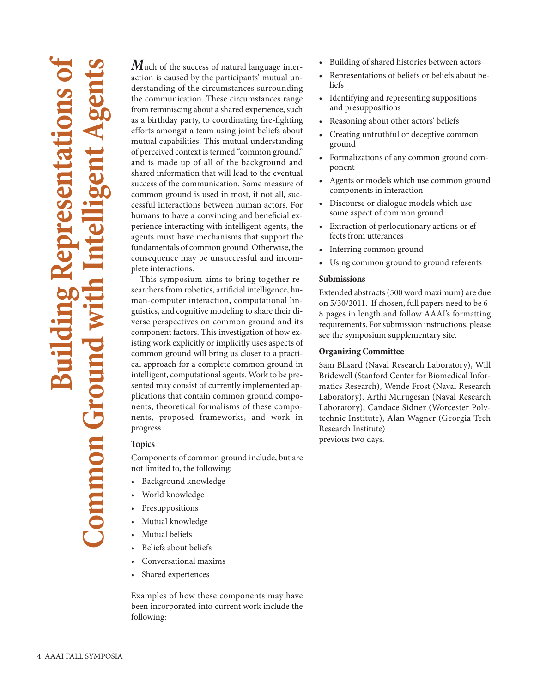# **Building Representations of Common Ground with Intelligent Agents** mmon Ground

**M**uch of the success of natural language interaction is caused by the participants' mutual understanding of the circumstances surrounding the communication. These circumstances range from reminiscing about a shared experience, such as a birthday party, to coordinating fire-fighting efforts amongst a team using joint beliefs about mutual capabilities. This mutual understanding of perceived context is termed "common ground," and is made up of all of the background and shared information that will lead to the eventual success of the communication. Some measure of common ground is used in most, if not all, successful interactions between human actors. For humans to have a convincing and beneficial experience interacting with intelligent agents, the agents must have mechanisms that support the fundamentals of common ground. Otherwise, the consequence may be unsuccessful and incomplete interactions.

This symposium aims to bring together researchers from robotics, artificial intelligence, human-computer interaction, computational linguistics, and cognitive modeling to share their diverse perspectives on common ground and its component factors. This investigation of how existing work explicitly or implicitly uses aspects of common ground will bring us closer to a practical approach for a complete common ground in intelligent, computational agents. Work to be presented may consist of currently implemented applications that contain common ground components, theoretical formalisms of these components, proposed frameworks, and work in progress.

### **Topics**

Components of common ground include, but are not limited to, the following:

- Background knowledge
- World knowledge
- **Presuppositions**
- Mutual knowledge
- Mutual beliefs
- Beliefs about beliefs
- Conversational maxims
- Shared experiences

Examples of how these components may have been incorporated into current work include the following:

- Building of shared histories between actors
- Representations of beliefs or beliefs about beliefs
- Identifying and representing suppositions and presuppositions
- Reasoning about other actors' beliefs
- Creating untruthful or deceptive common ground
- Formalizations of any common ground component
- Agents or models which use common ground components in interaction
- Discourse or dialogue models which use some aspect of common ground
- Extraction of perlocutionary actions or effects from utterances
- Inferring common ground
- Using common ground to ground referents

### **Submissions**

Extended abstracts (500 word maximum) are due on 5/30/2011. If chosen, full papers need to be 6- 8 pages in length and follow AAAI's formatting requirements. For submission instructions, please see the symposium supplementary site.

### **Organizing Committee**

Sam Blisard (Naval Research Laboratory), Will Bridewell (Stanford Center for Biomedical Informatics Research), Wende Frost (Naval Research Laboratory), Arthi Murugesan (Naval Research Laboratory), Candace Sidner (Worcester Polytechnic Institute), Alan Wagner (Georgia Tech Research Institute) previous two days.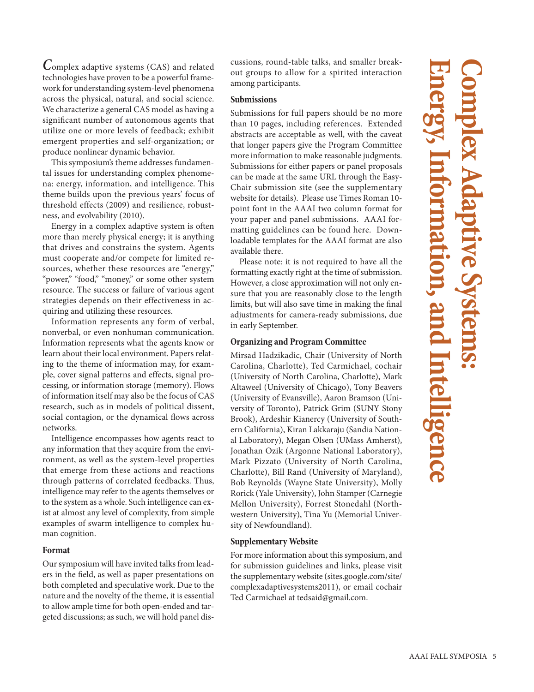**C**omplex adaptive systems (CAS) and related technologies have proven to be a powerful framework for understanding system-level phenomena across the physical, natural, and social science. We characterize a general CAS model as having a significant number of autonomous agents that utilize one or more levels of feedback; exhibit emergent properties and self-organization; or produce nonlinear dynamic behavior.

This symposium's theme addresses fundamental issues for understanding complex phenomena: energy, information, and intelligence. This theme builds upon the previous years' focus of threshold effects (2009) and resilience, robustness, and evolvability (2010).

Energy in a complex adaptive system is often more than merely physical energy; it is anything that drives and constrains the system. Agents must cooperate and/or compete for limited resources, whether these resources are "energy," "power," "food," "money," or some other system resource. The success or failure of various agent strategies depends on their effectiveness in acquiring and utilizing these resources.

Information represents any form of verbal, nonverbal, or even nonhuman communication. Information represents what the agents know or learn about their local environment. Papers relating to the theme of information may, for example, cover signal patterns and effects, signal processing, or information storage (memory). Flows of information itself may also be the focus of CAS research, such as in models of political dissent, social contagion, or the dynamical flows across networks.

Intelligence encompasses how agents react to any information that they acquire from the environment, as well as the system-level properties that emerge from these actions and reactions through patterns of correlated feedbacks. Thus, intelligence may refer to the agents themselves or to the system as a whole. Such intelligence can exist at almost any level of complexity, from simple examples of swarm intelligence to complex human cognition.

### **Format**

Our symposium will have invited talks from leaders in the field, as well as paper presentations on both completed and speculative work. Due to the nature and the novelty of the theme, it is essential to allow ample time for both open-ended and targeted discussions; as such, we will hold panel discussions, round-table talks, and smaller breakout groups to allow for a spirited interaction among participants.

### **Submissions**

Submissions for full papers should be no more than 10 pages, including references. Extended abstracts are acceptable as well, with the caveat that longer papers give the Program Committee more information to make reasonable judgments. Submissions for either papers or panel proposals can be made at the same URL through the Easy-Chair submission site (see the supplementary website for details). Please use Times Roman 10 point font in the AAAI two column format for your paper and panel submissions. AAAI formatting guidelines can be found here. Downloadable templates for the AAAI format are also available there.

Please note: it is not required to have all the formatting exactly right at the time of submission. However, a close approximation will not only ensure that you are reasonably close to the length limits, but will also save time in making the final adjustments for camera-ready submissions, due in early September.

### **Organizing and Program Committee**

Mirsad Hadzikadic, Chair (University of North Carolina, Charlotte), Ted Carmichael, cochair (University of North Carolina, Charlotte), Mark Altaweel (University of Chicago), Tony Beavers (University of Evansville), Aaron Bramson (University of Toronto), Patrick Grim (SUNY Stony Brook), Ardeshir Kianercy (University of Southern California), Kiran Lakkaraju (Sandia National Laboratory), Megan Olsen (UMass Amherst), Jonathan Ozik (Argonne National Laboratory), Mark Pizzato (University of North Carolina, Charlotte), Bill Rand (University of Maryland), Bob Reynolds (Wayne State University), Molly Rorick (Yale University), John Stamper (Carnegie Mellon University), Forrest Stonedahl (Northwestern University), Tina Yu (Memorial University of Newfoundland).

### **Supplementary Website**

For more information about this symposium, and for submission guidelines and links, please visit the supplementary website (sites.google.com/site/ complexadaptivesystems2011), or email cochair Ted Carmichael at tedsaid@gmail.com.

## **Energy, Information, and Intelligence Complex Adaptive Systems:**  Intelligence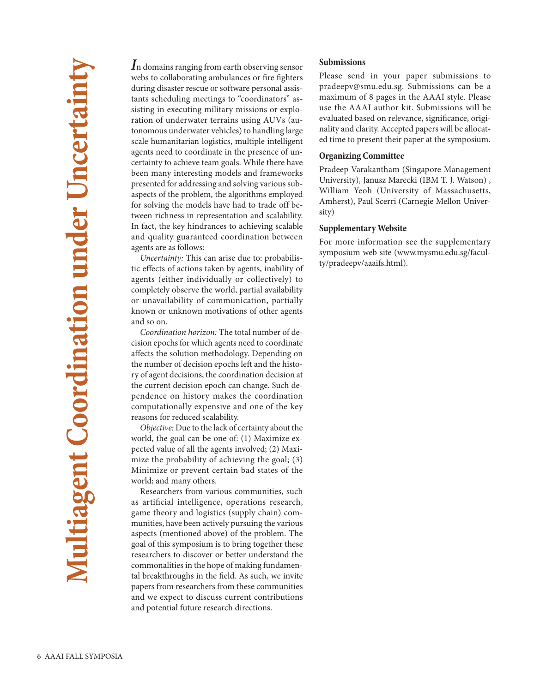**I**n domains ranging from earth observing sensor webs to collaborating ambulances or fire fighters during disaster rescue or software personal assistants scheduling meetings to "coordinators" assisting in executing military missions or exploration of underwater terrains using AUVs (autonomous underwater vehicles) to handling large scale humanitarian logistics, multiple intelligent agents need to coordinate in the presence of uncertainty to achieve team goals. While there have been many interesting models and frameworks presented for addressing and solving various subaspects of the problem, the algorithms employed for solving the models have had to trade off between richness in representation and scalability. In fact, the key hindrances to achieving scalable and quality guaranteed coordination between agents are as follows:

Uncertainty: This can arise due to: probabilistic effects of actions taken by agents, inability of agents (either individually or collectively) to completely observe the world, partial availability or unavailability of communication, partially known or unknown motivations of other agents and so on.

Coordination horizon: The total number of decision epochs for which agents need to coordinate affects the solution methodology. Depending on the number of decision epochs left and the history of agent decisions, the coordination decision at the current decision epoch can change. Such dependence on history makes the coordination computationally expensive and one of the key reasons for reduced scalability.

Objective: Due to the lack of certainty about the world, the goal can be one of: (1) Maximize expected value of all the agents involved; (2) Maximize the probability of achieving the goal; (3) Minimize or prevent certain bad states of the world; and many others.

Researchers from various communities, such as artificial intelligence, operations research, game theory and logistics (supply chain) communities, have been actively pursuing the various aspects (mentioned above) of the problem. The goal of this symposium is to bring together these researchers to discover or better understand the commonalities in the hope of making fundamental breakthroughs in the field. As such, we invite papers from researchers from these communities and we expect to discuss current contributions and potential future research directions.

### **Submissions**

Please send in your paper submissions to pradeepv@smu.edu.sg. Submissions can be a maximum of 8 pages in the AAAI style. Please use the AAAI author kit. Submissions will be evaluated based on relevance, significance, originality and clarity. Accepted papers will be allocated time to present their paper at the symposium.

### **Organizing Committee**

Pradeep Varakantham (Singapore Management University), Janusz Marecki (IBM T. J. Watson) , William Yeoh (University of Massachusetts, Amherst), Paul Scerri (Carnegie Mellon University)

### **Supplementary Website**

For more information see the supplementary symposium web site (www.mysmu.edu.sg/faculty/pradeepv/aaaifs.html).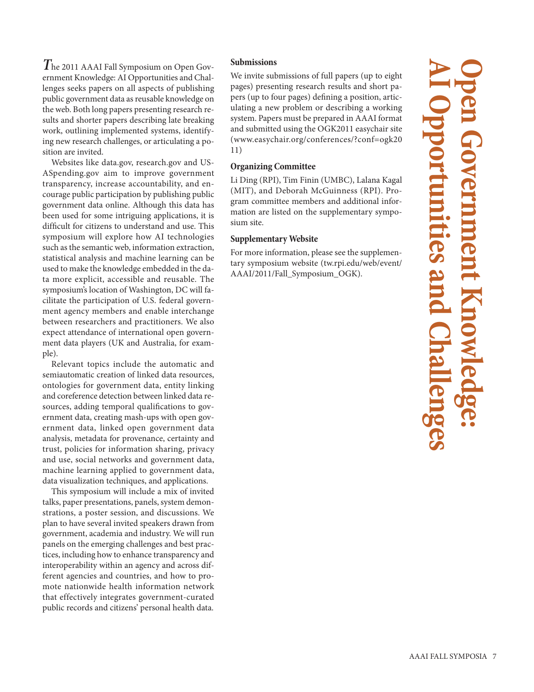**T**he 2011 AAAI Fall Symposium on Open Government Knowledge: AI Opportunities and Challenges seeks papers on all aspects of publishing public government data as reusable knowledge on the web. Both long papers presenting research results and shorter papers describing late breaking work, outlining implemented systems, identifying new research challenges, or articulating a position are invited.

Websites like data.gov, research.gov and US-ASpending.gov aim to improve government transparency, increase accountability, and encourage public participation by publishing public government data online. Although this data has been used for some intriguing applications, it is difficult for citizens to understand and use. This symposium will explore how AI technologies such as the semantic web, information extraction, statistical analysis and machine learning can be used to make the knowledge embedded in the data more explicit, accessible and reusable. The symposium's location of Washington, DC will facilitate the participation of U.S. federal government agency members and enable interchange between researchers and practitioners. We also expect attendance of international open government data players (UK and Australia, for example).

Relevant topics include the automatic and semiautomatic creation of linked data resources, ontologies for government data, entity linking and coreference detection between linked data resources, adding temporal qualifications to government data, creating mash-ups with open government data, linked open government data analysis, metadata for provenance, certainty and trust, policies for information sharing, privacy and use, social networks and government data, machine learning applied to government data, data visualization techniques, and applications.

This symposium will include a mix of invited talks, paper presentations, panels, system demonstrations, a poster session, and discussions. We plan to have several invited speakers drawn from government, academia and industry. We will run panels on the emerging challenges and best practices, including how to enhance transparency and interoperability within an agency and across different agencies and countries, and how to promote nationwide health information network that effectively integrates government-curated public records and citizens' personal health data.

### **Submissions**

We invite submissions of full papers (up to eight pages) presenting research results and short papers (up to four pages) defining a position, articulating a new problem or describing a working system. Papers must be prepared in AAAI format and submitted using the OGK2011 easychair site (www.easychair.org/conferences/?conf=ogk20 11)

### **Organizing Committee**

Li Ding (RPI), Tim Finin (UMBC), Lalana Kagal (MIT), and Deborah McGuinness (RPI). Program committee members and additional information are listed on the supplementary symposium site.

### **Supplementary Website**

For more information, please see the supplementary symposium website (tw.rpi.edu/web/event/ AAAI/2011/Fall\_Symposium\_OGK).

**AI Opportunities and Challenges Open Government Knowledge: LLES 21**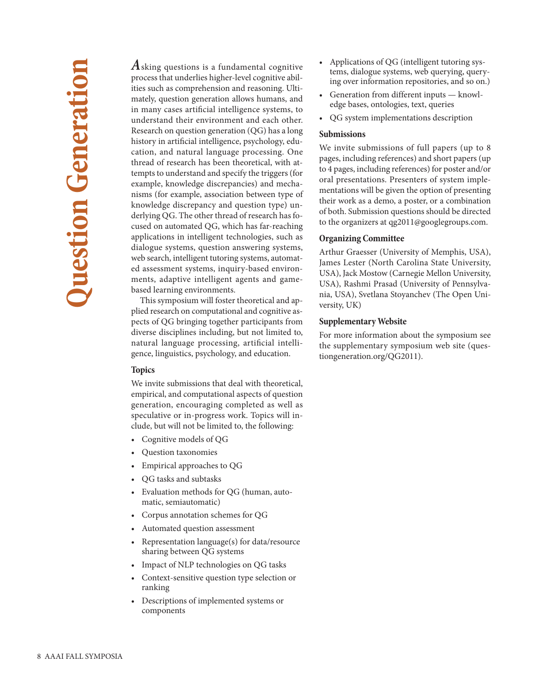**A**sking questions is a fundamental cognitive process that underlies higher-level cognitive abilities such as comprehension and reasoning. Ultimately, question generation allows humans, and in many cases artificial intelligence systems, to understand their environment and each other. Research on question generation (QG) has a long history in artificial intelligence, psychology, education, and natural language processing. One thread of research has been theoretical, with attempts to understand and specify the triggers (for example, knowledge discrepancies) and mechanisms (for example, association between type of knowledge discrepancy and question type) underlying QG. The other thread of research has focused on automated QG, which has far-reaching applications in intelligent technologies, such as dialogue systems, question answering systems, web search, intelligent tutoring systems, automated assessment systems, inquiry-based environments, adaptive intelligent agents and gamebased learning environments.

This symposium will foster theoretical and applied research on computational and cognitive aspects of QG bringing together participants from diverse disciplines including, but not limited to, natural language processing, artificial intelligence, linguistics, psychology, and education.

### **Topics**

We invite submissions that deal with theoretical, empirical, and computational aspects of question generation, encouraging completed as well as speculative or in-progress work. Topics will include, but will not be limited to, the following:

- Cognitive models of QG
- Question taxonomies
- Empirical approaches to QG
- QG tasks and subtasks
- Evaluation methods for QG (human, automatic, semiautomatic)
- Corpus annotation schemes for QG
- Automated question assessment
- Representation language(s) for data/resource sharing between QG systems
- Impact of NLP technologies on QG tasks
- Context-sensitive question type selection or ranking
- Descriptions of implemented systems or components
- Applications of QG (intelligent tutoring systems, dialogue systems, web querying, querying over information repositories, and so on.)
- Generation from different inputs knowledge bases, ontologies, text, queries
- QG system implementations description

### **Submissions**

We invite submissions of full papers (up to 8 pages, including references) and short papers (up to 4 pages, including references) for poster and/or oral presentations. Presenters of system implementations will be given the option of presenting their work as a demo, a poster, or a combination of both. Submission questions should be directed to the organizers at qg2011@googlegroups.com.

### **Organizing Committee**

Arthur Graesser (University of Memphis, USA), James Lester (North Carolina State University, USA), Jack Mostow (Carnegie Mellon University, USA), Rashmi Prasad (University of Pennsylvania, USA), Svetlana Stoyanchev (The Open University, UK)

### **Supplementary Website**

For more information about the symposium see the supplementary symposium web site (questiongeneration.org/QG2011).